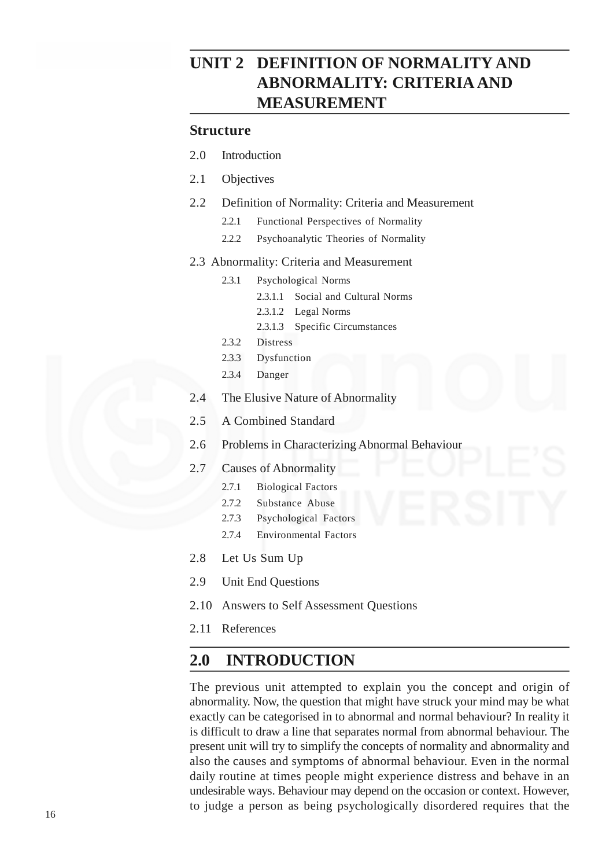# **UNIT 2 DEFINITION OF NORMALITY AND ABNORMALITY: CRITERIA AND MEASUREMENT**

#### **Structure**

- 2.0 Introduction
- 2.1 Objectives
- 2.2 Definition of Normality: Criteria and Measurement
	- 2.2.1 Functional Perspectives of Normality
	- 2.2.2 Psychoanalytic Theories of Normality

#### 2.3 Abnormality: Criteria and Measurement

- 2.3.1 Psychological Norms
	- 2.3.1.1 Social and Cultural Norms
	- 2.3.1.2 Legal Norms
	- 2.3.1.3 Specific Circumstances
- 2.3.2 Distress
- 2.3.3 Dysfunction
- 2.3.4 Danger
- 2.4 The Elusive Nature of Abnormality
- 2.5 A Combined Standard
- 2.6 Problems in Characterizing Abnormal Behaviour
- 2.7 Causes of Abnormality
	- 2.7.1 Biological Factors
	- 2.7.2 Substance Abuse
	- 2.7.3 Psychological Factors
	- 2.7.4 Environmental Factors
- 2.8 Let Us Sum Up
- 2.9 Unit End Questions
- 2.10 Answers to Self Assessment Questions
- 2.11 References

### **2.0 INTRODUCTION**

The previous unit attempted to explain you the concept and origin of abnormality. Now, the question that might have struck your mind may be what exactly can be categorised in to abnormal and normal behaviour? In reality it is difficult to draw a line that separates normal from abnormal behaviour. The present unit will try to simplify the concepts of normality and abnormality and also the causes and symptoms of abnormal behaviour. Even in the normal daily routine at times people might experience distress and behave in an undesirable ways. Behaviour may depend on the occasion or context. However, to judge a person as being psychologically disordered requires that the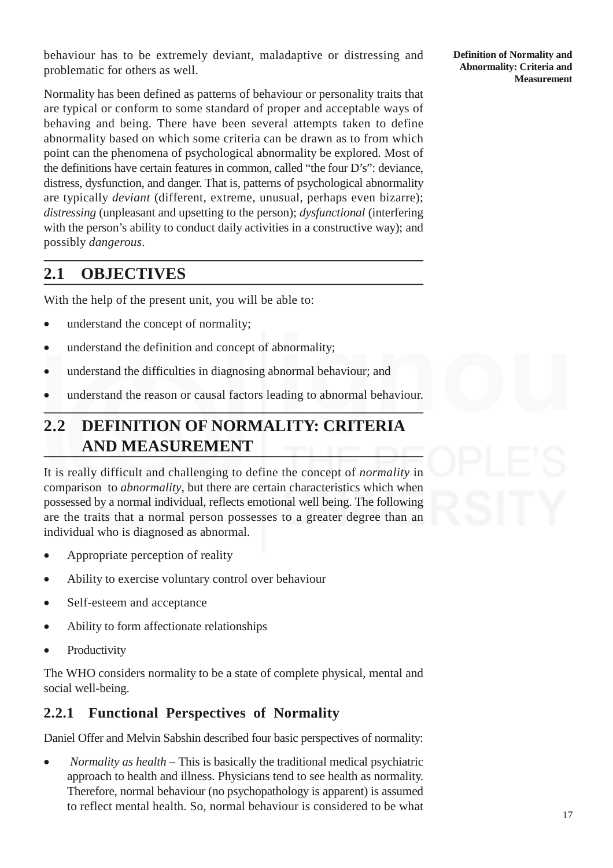behaviour has to be extremely deviant, maladaptive or distressing and problematic for others as well.

Normality has been defined as patterns of behaviour or personality traits that are typical or conform to some standard of proper and acceptable ways of behaving and being. There have been several attempts taken to define abnormality based on which some criteria can be drawn as to from which point can the phenomena of psychological abnormality be explored. Most of the definitions have certain features in common, called "the four D's": deviance, distress, dysfunction, and danger. That is, patterns of psychological abnormality are typically *deviant* (different, extreme, unusual, perhaps even bizarre); *distressing* (unpleasant and upsetting to the person); *dysfunctional* (interfering with the person's ability to conduct daily activities in a constructive way); and possibly *dangerous*.

# **2.1 OBJECTIVES**

With the help of the present unit, you will be able to:

- understand the concept of normality:
- understand the definition and concept of abnormality;
- understand the difficulties in diagnosing abnormal behaviour; and
- understand the reason or causal factors leading to abnormal behaviour.

# **2.2 DEFINITION OF NORMALITY: CRITERIA AND MEASUREMENT**

It is really difficult and challenging to define the concept of *normality* in comparison to *abnormality*, but there are certain characteristics which when possessed by a normal individual, reflects emotional well being. The following are the traits that a normal person possesses to a greater degree than an individual who is diagnosed as abnormal.

- Appropriate perception of reality
- Ability to exercise voluntary control over behaviour
- Self-esteem and acceptance
- Ability to form affectionate relationships
- Productivity

The WHO considers normality to be a state of complete physical, mental and social well-being.

### **2.2.1 Functional Perspectives of Normality**

Daniel Offer and Melvin Sabshin described four basic perspectives of normality:

 *Normality as health* – This is basically the traditional medical psychiatric approach to health and illness. Physicians tend to see health as normality. Therefore, normal behaviour (no psychopathology is apparent) is assumed to reflect mental health. So, normal behaviour is considered to be what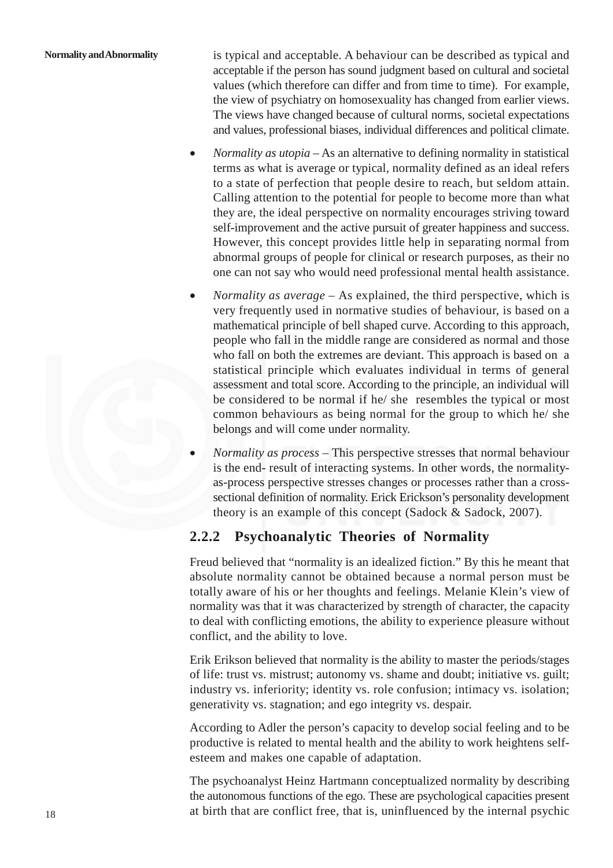#### **Normality andAbnormality**

is typical and acceptable. A behaviour can be described as typical and acceptable if the person has sound judgment based on cultural and societal values (which therefore can differ and from time to time). For example, the view of psychiatry on homosexuality has changed from earlier views. The views have changed because of cultural norms, societal expectations and values, professional biases, individual differences and political climate.

- *Normality as utopia* As an alternative to defining normality in statistical terms as what is average or typical, normality defined as an ideal refers to a state of perfection that people desire to reach, but seldom attain. Calling attention to the potential for people to become more than what they are, the ideal perspective on normality encourages striving toward self-improvement and the active pursuit of greater happiness and success. However, this concept provides little help in separating normal from abnormal groups of people for clinical or research purposes, as their no one can not say who would need professional mental health assistance.
- *Normality as average* As explained, the third perspective, which is very frequently used in normative studies of behaviour, is based on a mathematical principle of bell shaped curve. According to this approach, people who fall in the middle range are considered as normal and those who fall on both the extremes are deviant. This approach is based on a statistical principle which evaluates individual in terms of general assessment and total score. According to the principle, an individual will be considered to be normal if he/ she resembles the typical or most common behaviours as being normal for the group to which he/ she belongs and will come under normality.
- *Normality as process –* This perspective stresses that normal behaviour is the end- result of interacting systems. In other words, the normalityas-process perspective stresses changes or processes rather than a crosssectional definition of normality. Erick Erickson's personality development theory is an example of this concept (Sadock & Sadock, 2007).

### **2.2.2 Psychoanalytic Theories of Normality**

Freud believed that "normality is an idealized fiction." By this he meant that absolute normality cannot be obtained because a normal person must be totally aware of his or her thoughts and feelings. Melanie Klein's view of normality was that it was characterized by strength of character, the capacity to deal with conflicting emotions, the ability to experience pleasure without conflict, and the ability to love.

Erik Erikson believed that normality is the ability to master the periods/stages of life: trust vs. mistrust; autonomy vs. shame and doubt; initiative vs. guilt; industry vs. inferiority; identity vs. role confusion; intimacy vs. isolation; generativity vs. stagnation; and ego integrity vs. despair.

According to Adler the person's capacity to develop social feeling and to be productive is related to mental health and the ability to work heightens selfesteem and makes one capable of adaptation.

The psychoanalyst Heinz Hartmann conceptualized normality by describing the autonomous functions of the ego. These are psychological capacities present at birth that are conflict free, that is, uninfluenced by the internal psychic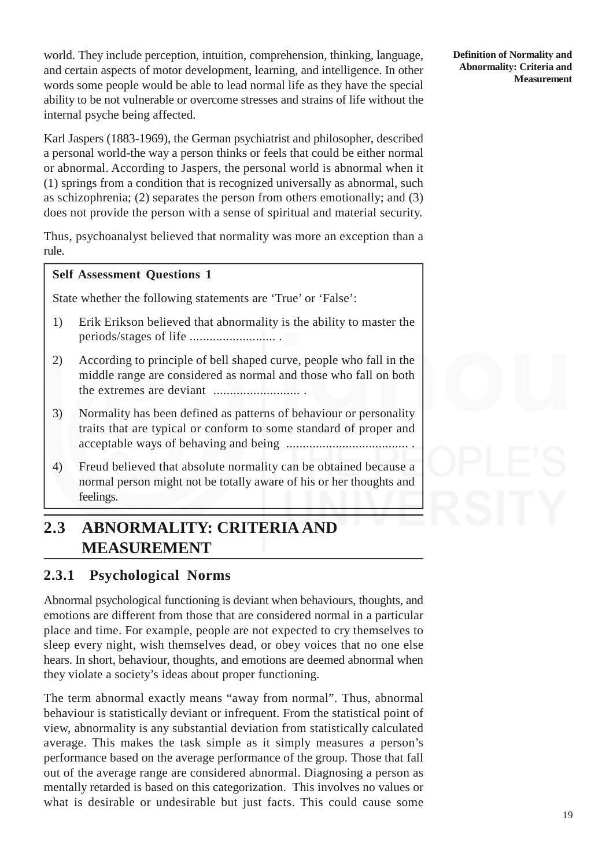world. They include perception, intuition, comprehension, thinking, language, and certain aspects of motor development, learning, and intelligence. In other words some people would be able to lead normal life as they have the special ability to be not vulnerable or overcome stresses and strains of life without the internal psyche being affected.

Karl Jaspers (1883-1969), the German psychiatrist and philosopher, described a personal world-the way a person thinks or feels that could be either normal or abnormal. According to Jaspers, the personal world is abnormal when it (1) springs from a condition that is recognized universally as abnormal, such as schizophrenia; (2) separates the person from others emotionally; and (3) does not provide the person with a sense of spiritual and material security.

Thus, psychoanalyst believed that normality was more an exception than a rule.

#### **Self Assessment Questions 1**

State whether the following statements are 'True' or 'False':

- 1) Erik Erikson believed that abnormality is the ability to master the periods/stages of life .......................... .
- 2) According to principle of bell shaped curve, people who fall in the middle range are considered as normal and those who fall on both the extremes are deviant .......................... .
- 3) Normality has been defined as patterns of behaviour or personality traits that are typical or conform to some standard of proper and acceptable ways of behaving and being ..................................... .
- 4) Freud believed that absolute normality can be obtained because a normal person might not be totally aware of his or her thoughts and feelings.

# **2.3 ABNORMALITY: CRITERIA AND MEASUREMENT**

### **2.3.1 Psychological Norms**

Abnormal psychological functioning is deviant when behaviours, thoughts, and emotions are different from those that are considered normal in a particular place and time. For example, people are not expected to cry themselves to sleep every night, wish themselves dead, or obey voices that no one else hears. In short, behaviour, thoughts, and emotions are deemed abnormal when they violate a society's ideas about proper functioning.

The term abnormal exactly means "away from normal". Thus, abnormal behaviour is statistically deviant or infrequent. From the statistical point of view, abnormality is any substantial deviation from statistically calculated average. This makes the task simple as it simply measures a person's performance based on the average performance of the group. Those that fall out of the average range are considered abnormal. Diagnosing a person as mentally retarded is based on this categorization. This involves no values or what is desirable or undesirable but just facts. This could cause some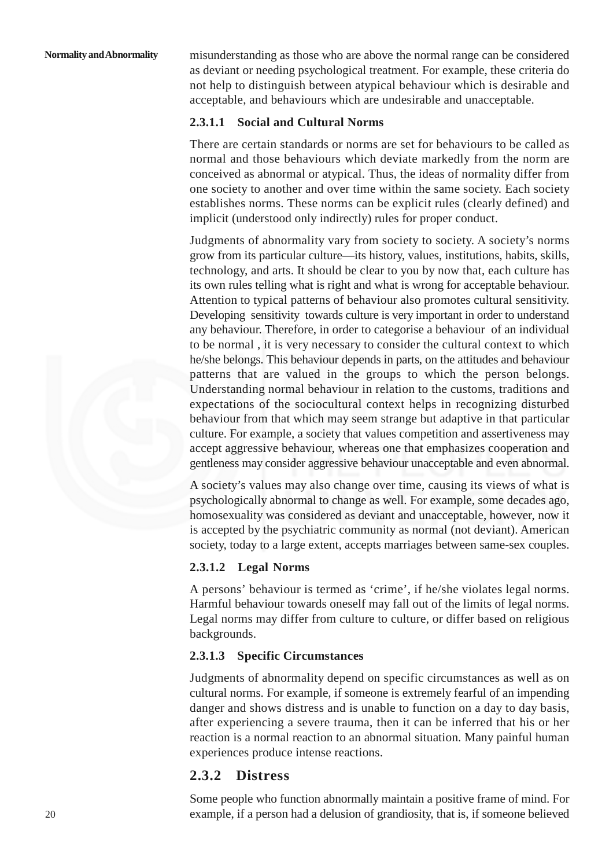misunderstanding as those who are above the normal range can be considered as deviant or needing psychological treatment. For example, these criteria do not help to distinguish between atypical behaviour which is desirable and acceptable, and behaviours which are undesirable and unacceptable.

#### **2.3.1.1 Social and Cultural Norms**

There are certain standards or norms are set for behaviours to be called as normal and those behaviours which deviate markedly from the norm are conceived as abnormal or atypical. Thus, the ideas of normality differ from one society to another and over time within the same society. Each society establishes norms. These norms can be explicit rules (clearly defined) and implicit (understood only indirectly) rules for proper conduct.

Judgments of abnormality vary from society to society. A society's norms grow from its particular culture—its history, values, institutions, habits, skills, technology, and arts. It should be clear to you by now that, each culture has its own rules telling what is right and what is wrong for acceptable behaviour. Attention to typical patterns of behaviour also promotes cultural sensitivity. Developing sensitivity towards culture is very important in order to understand any behaviour. Therefore, in order to categorise a behaviour of an individual to be normal , it is very necessary to consider the cultural context to which he/she belongs. This behaviour depends in parts, on the attitudes and behaviour patterns that are valued in the groups to which the person belongs. Understanding normal behaviour in relation to the customs, traditions and expectations of the sociocultural context helps in recognizing disturbed behaviour from that which may seem strange but adaptive in that particular culture. For example, a society that values competition and assertiveness may accept aggressive behaviour, whereas one that emphasizes cooperation and gentleness may consider aggressive behaviour unacceptable and even abnormal.

A society's values may also change over time, causing its views of what is psychologically abnormal to change as well. For example, some decades ago, homosexuality was considered as deviant and unacceptable, however, now it is accepted by the psychiatric community as normal (not deviant). American society, today to a large extent, accepts marriages between same-sex couples.

#### **2.3.1.2 Legal Norms**

A persons' behaviour is termed as 'crime', if he/she violates legal norms. Harmful behaviour towards oneself may fall out of the limits of legal norms. Legal norms may differ from culture to culture, or differ based on religious backgrounds.

#### **2.3.1.3 Specific Circumstances**

Judgments of abnormality depend on specific circumstances as well as on cultural norms. For example, if someone is extremely fearful of an impending danger and shows distress and is unable to function on a day to day basis, after experiencing a severe trauma, then it can be inferred that his or her reaction is a normal reaction to an abnormal situation. Many painful human experiences produce intense reactions.

#### **2.3.2 Distress**

Some people who function abnormally maintain a positive frame of mind. For example, if a person had a delusion of grandiosity, that is, if someone believed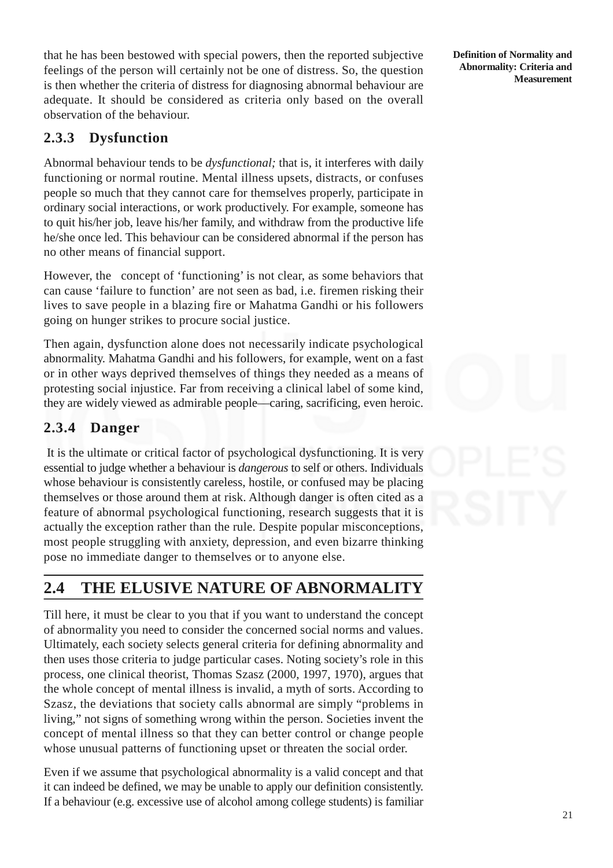that he has been bestowed with special powers, then the reported subjective feelings of the person will certainly not be one of distress. So, the question is then whether the criteria of distress for diagnosing abnormal behaviour are adequate. It should be considered as criteria only based on the overall observation of the behaviour.

## **2.3.3 Dysfunction**

Abnormal behaviour tends to be *dysfunctional;* that is, it interferes with daily functioning or normal routine. Mental illness upsets, distracts, or confuses people so much that they cannot care for themselves properly, participate in ordinary social interactions, or work productively. For example, someone has to quit his/her job, leave his/her family, and withdraw from the productive life he/she once led. This behaviour can be considered abnormal if the person has no other means of financial support.

However, the concept of 'functioning' is not clear, as some behaviors that can cause 'failure to function' are not seen as bad, i.e. firemen risking their lives to save people in a blazing fire or Mahatma Gandhi or his followers going on hunger strikes to procure social justice.

Then again, dysfunction alone does not necessarily indicate psychological abnormality. Mahatma Gandhi and his followers, for example, went on a fast or in other ways deprived themselves of things they needed as a means of protesting social injustice. Far from receiving a clinical label of some kind, they are widely viewed as admirable people—caring, sacrificing, even heroic.

## **2.3.4 Danger**

It is the ultimate or critical factor of psychological dysfunctioning. It is very essential to judge whether a behaviour is *dangerous* to self or others. Individuals whose behaviour is consistently careless, hostile, or confused may be placing themselves or those around them at risk. Although danger is often cited as a feature of abnormal psychological functioning, research suggests that it is actually the exception rather than the rule. Despite popular misconceptions, most people struggling with anxiety, depression, and even bizarre thinking pose no immediate danger to themselves or to anyone else.

# **2.4 THE ELUSIVE NATURE OF ABNORMALITY**

Till here, it must be clear to you that if you want to understand the concept of abnormality you need to consider the concerned social norms and values. Ultimately, each society selects general criteria for defining abnormality and then uses those criteria to judge particular cases. Noting society's role in this process, one clinical theorist, Thomas Szasz (2000, 1997, 1970), argues that the whole concept of mental illness is invalid, a myth of sorts. According to Szasz, the deviations that society calls abnormal are simply "problems in living," not signs of something wrong within the person. Societies invent the concept of mental illness so that they can better control or change people whose unusual patterns of functioning upset or threaten the social order.

Even if we assume that psychological abnormality is a valid concept and that it can indeed be defined, we may be unable to apply our definition consistently. If a behaviour (e.g. excessive use of alcohol among college students) is familiar

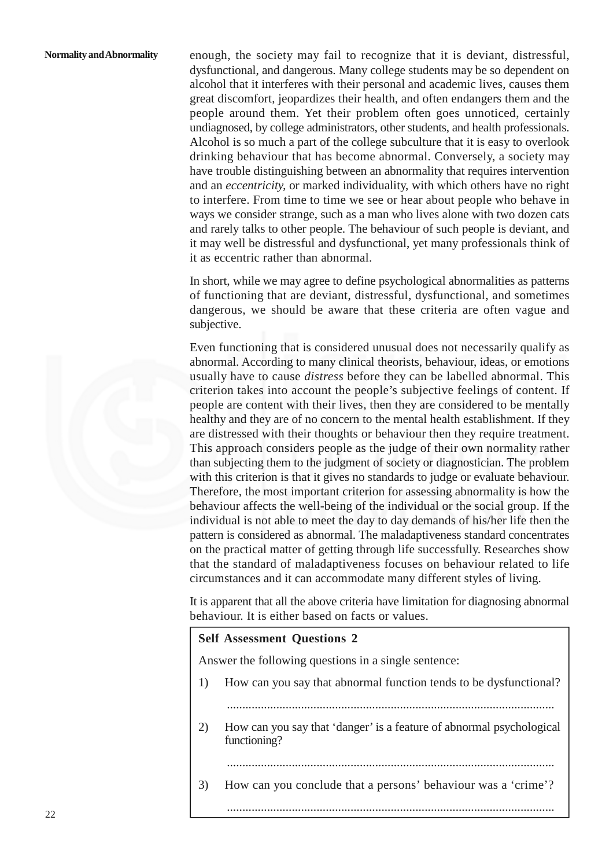enough, the society may fail to recognize that it is deviant, distressful, dysfunctional, and dangerous. Many college students may be so dependent on alcohol that it interferes with their personal and academic lives, causes them great discomfort, jeopardizes their health, and often endangers them and the people around them. Yet their problem often goes unnoticed, certainly undiagnosed, by college administrators, other students, and health professionals. Alcohol is so much a part of the college subculture that it is easy to overlook drinking behaviour that has become abnormal. Conversely, a society may have trouble distinguishing between an abnormality that requires intervention and an *eccentricity,* or marked individuality, with which others have no right to interfere. From time to time we see or hear about people who behave in ways we consider strange, such as a man who lives alone with two dozen cats and rarely talks to other people. The behaviour of such people is deviant, and it may well be distressful and dysfunctional, yet many professionals think of it as eccentric rather than abnormal.

In short, while we may agree to define psychological abnormalities as patterns of functioning that are deviant, distressful, dysfunctional, and sometimes dangerous, we should be aware that these criteria are often vague and subjective.

Even functioning that is considered unusual does not necessarily qualify as abnormal. According to many clinical theorists, behaviour, ideas, or emotions usually have to cause *distress* before they can be labelled abnormal. This criterion takes into account the people's subjective feelings of content. If people are content with their lives, then they are considered to be mentally healthy and they are of no concern to the mental health establishment. If they are distressed with their thoughts or behaviour then they require treatment. This approach considers people as the judge of their own normality rather than subjecting them to the judgment of society or diagnostician. The problem with this criterion is that it gives no standards to judge or evaluate behaviour. Therefore, the most important criterion for assessing abnormality is how the behaviour affects the well-being of the individual or the social group. If the individual is not able to meet the day to day demands of his/her life then the pattern is considered as abnormal. The maladaptiveness standard concentrates on the practical matter of getting through life successfully. Researches show that the standard of maladaptiveness focuses on behaviour related to life circumstances and it can accommodate many different styles of living.

It is apparent that all the above criteria have limitation for diagnosing abnormal behaviour. It is either based on facts or values.

#### **Self Assessment Questions 2**

Answer the following questions in a single sentence:

- 1) How can you say that abnormal function tends to be dysfunctional?
	- ..........................................................................................................
- 2) How can you say that 'danger' is a feature of abnormal psychological functioning?

..........................................................................................................

3) How can you conclude that a persons' behaviour was a 'crime'?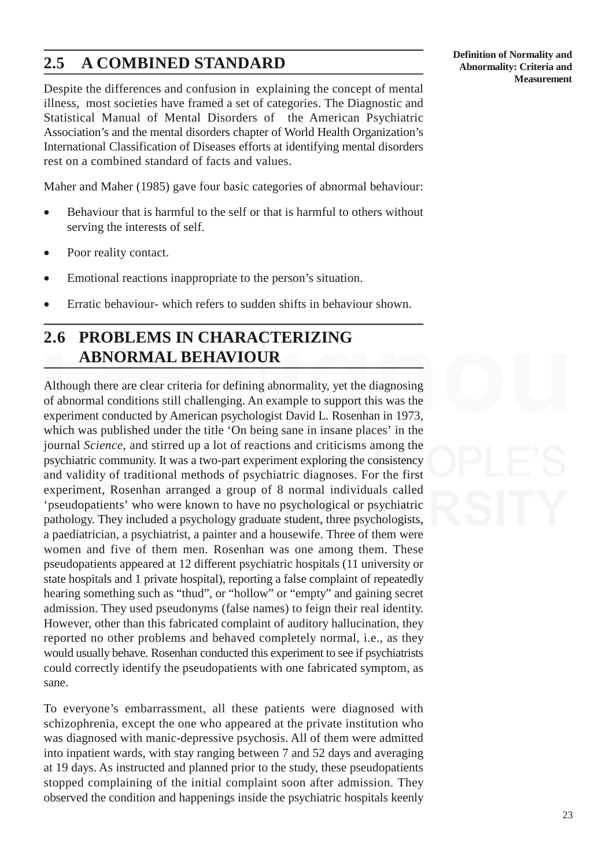# **2.5 A COMBINED STANDARD**

Despite the differences and confusion in explaining the concept of mental illness, most societies have framed a set of categories. The Diagnostic and Statistical Manual of Mental Disorders of the American Psychiatric Association's and the mental disorders chapter of World Health Organization's International Classification of Diseases efforts at identifying mental disorders rest on a combined standard of facts and values.

Maher and Maher (1985) gave four basic categories of abnormal behaviour:

- Behaviour that is harmful to the self or that is harmful to others without serving the interests of self.
- Poor reality contact.
- Emotional reactions inappropriate to the person's situation.
- Erratic behaviour- which refers to sudden shifts in behaviour shown.

# **2.6 PROBLEMS IN CHARACTERIZING ABNORMAL BEHAVIOUR**

Although there are clear criteria for defining abnormality, yet the diagnosing of abnormal conditions still challenging. An example to support this was the experiment conducted by American psychologist David L. Rosenhan in 1973, which was published under the title 'On being sane in insane places' in the journal *Science*, and stirred up a lot of reactions and criticisms among the psychiatric community. It was a two-part experiment exploring the consistency and validity of traditional methods of psychiatric diagnoses. For the first experiment, Rosenhan arranged a group of 8 normal individuals called 'pseudopatients' who were known to have no psychological or psychiatric pathology. They included a psychology graduate student, three psychologists, a paediatrician, a psychiatrist, a painter and a housewife. Three of them were women and five of them men. Rosenhan was one among them. These pseudopatients appeared at 12 different psychiatric hospitals (11 university or state hospitals and 1 private hospital), reporting a false complaint of repeatedly hearing something such as "thud", or "hollow" or "empty" and gaining secret admission. They used pseudonyms (false names) to feign their real identity. However, other than this fabricated complaint of auditory hallucination, they reported no other problems and behaved completely normal, i.e., as they would usually behave. Rosenhan conducted this experiment to see if psychiatrists could correctly identify the pseudopatients with one fabricated symptom, as sane.

To everyone's embarrassment, all these patients were diagnosed with schizophrenia, except the one who appeared at the private institution who was diagnosed with manic-depressive psychosis. All of them were admitted into inpatient wards, with stay ranging between 7 and 52 days and averaging at 19 days. As instructed and planned prior to the study, these pseudopatients stopped complaining of the initial complaint soon after admission. They observed the condition and happenings inside the psychiatric hospitals keenly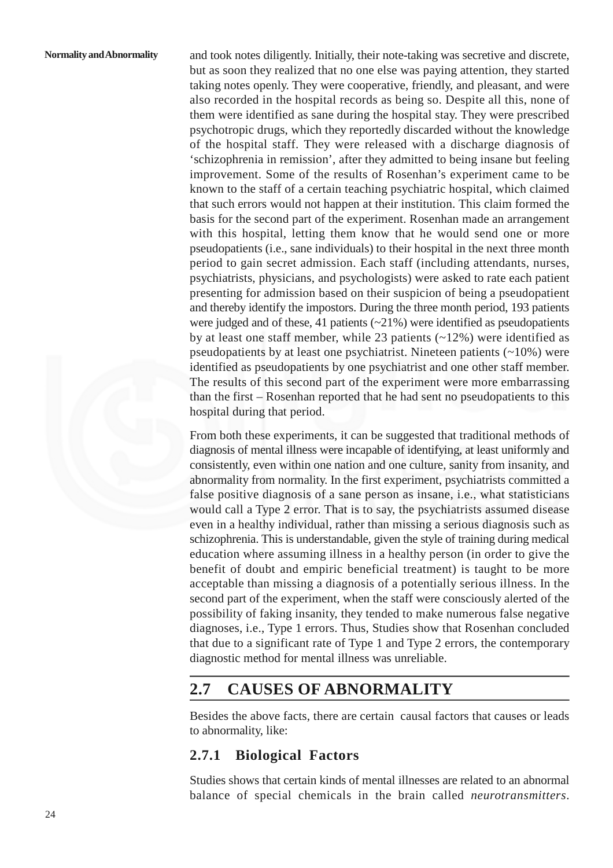and took notes diligently. Initially, their note-taking was secretive and discrete, but as soon they realized that no one else was paying attention, they started taking notes openly. They were cooperative, friendly, and pleasant, and were also recorded in the hospital records as being so. Despite all this, none of them were identified as sane during the hospital stay. They were prescribed psychotropic drugs, which they reportedly discarded without the knowledge of the hospital staff. They were released with a discharge diagnosis of 'schizophrenia in remission', after they admitted to being insane but feeling improvement. Some of the results of Rosenhan's experiment came to be known to the staff of a certain teaching psychiatric hospital, which claimed that such errors would not happen at their institution. This claim formed the basis for the second part of the experiment. Rosenhan made an arrangement with this hospital, letting them know that he would send one or more pseudopatients (i.e., sane individuals) to their hospital in the next three month period to gain secret admission. Each staff (including attendants, nurses, psychiatrists, physicians, and psychologists) were asked to rate each patient presenting for admission based on their suspicion of being a pseudopatient and thereby identify the impostors. During the three month period, 193 patients were judged and of these, 41 patients  $(\sim 21\%)$  were identified as pseudopatients by at least one staff member, while 23 patients  $(-12\%)$  were identified as pseudopatients by at least one psychiatrist. Nineteen patients  $(20\%)$  were identified as pseudopatients by one psychiatrist and one other staff member. The results of this second part of the experiment were more embarrassing than the first – Rosenhan reported that he had sent no pseudopatients to this hospital during that period.

From both these experiments, it can be suggested that traditional methods of diagnosis of mental illness were incapable of identifying, at least uniformly and consistently, even within one nation and one culture, sanity from insanity, and abnormality from normality. In the first experiment, psychiatrists committed a false positive diagnosis of a sane person as insane, i.e., what statisticians would call a Type 2 error. That is to say, the psychiatrists assumed disease even in a healthy individual, rather than missing a serious diagnosis such as schizophrenia. This is understandable, given the style of training during medical education where assuming illness in a healthy person (in order to give the benefit of doubt and empiric beneficial treatment) is taught to be more acceptable than missing a diagnosis of a potentially serious illness. In the second part of the experiment, when the staff were consciously alerted of the possibility of faking insanity, they tended to make numerous false negative diagnoses, i.e., Type 1 errors. Thus, Studies show that Rosenhan concluded that due to a significant rate of Type 1 and Type 2 errors, the contemporary diagnostic method for mental illness was unreliable.

## **2.7 CAUSES OF ABNORMALITY**

Besides the above facts, there are certain causal factors that causes or leads to abnormality, like:

### **2.7.1 Biological Factors**

Studies shows that certain kinds of mental illnesses are related to an abnormal balance of special chemicals in the brain called *neurotransmitters*.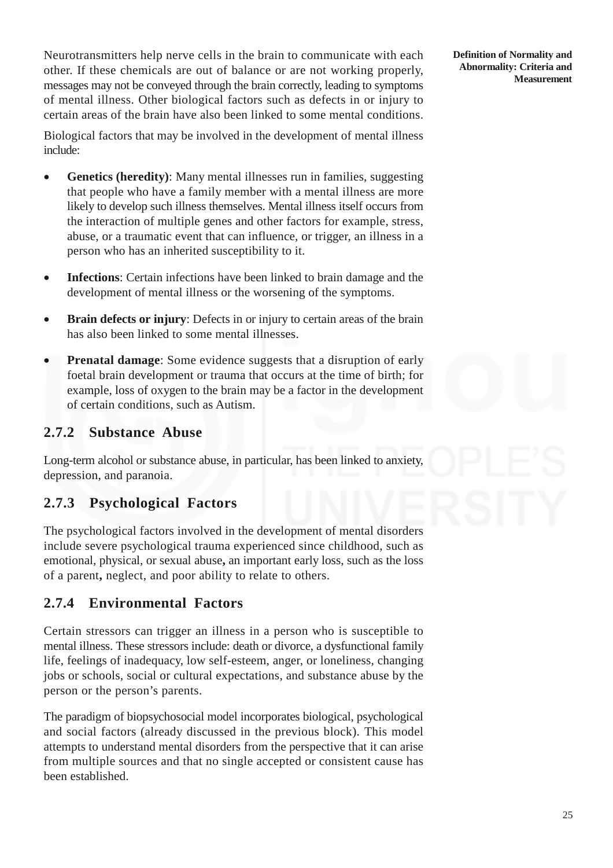Neurotransmitters help nerve cells in the brain to communicate with each other. If these chemicals are out of balance or are not working properly, messages may not be conveyed through the brain correctly, leading to symptoms of mental illness. Other biological factors such as defects in or injury to certain areas of the brain have also been linked to some mental conditions.

Biological factors that may be involved in the development of mental illness include:

- **Genetics (heredity)**: Many mental illnesses run in families, suggesting that people who have a family member with a mental illness are more likely to develop such illness themselves. Mental illness itself occurs from the interaction of multiple genes and other factors for example, stress, abuse, or a traumatic event that can influence, or trigger, an illness in a person who has an inherited susceptibility to it.
- **Infections**: Certain infections have been linked to brain damage and the development of mental illness or the worsening of the symptoms.
- **Brain defects or injury**: Defects in or injury to certain areas of the brain has also been linked to some mental illnesses.
- **Prenatal damage:** Some evidence suggests that a disruption of early foetal brain development or trauma that occurs at the time of birth; for example, loss of oxygen to the brain may be a factor in the development of certain conditions, such as Autism.

### **2.7.2 Substance Abuse**

Long-term alcohol or substance abuse, in particular, has been linked to anxiety, depression, and paranoia.

### **2.7.3 Psychological Factors**

The psychological factors involved in the development of mental disorders include severe psychological trauma experienced since childhood, such as emotional, physical, or sexual abuse**,** an important early loss, such as the loss of a parent**,** neglect, and poor ability to relate to others.

### **2.7.4 Environmental Factors**

Certain stressors can trigger an illness in a person who is susceptible to mental illness. These stressors include: death or divorce, a dysfunctional family life, feelings of inadequacy, low self-esteem, anger, or loneliness, changing jobs or schools, social or cultural expectations, and substance abuse by the person or the person's parents.

The paradigm of biopsychosocial model incorporates biological, psychological and social factors (already discussed in the previous block). This model attempts to understand mental disorders from the perspective that it can arise from multiple sources and that no single accepted or consistent cause has been established.

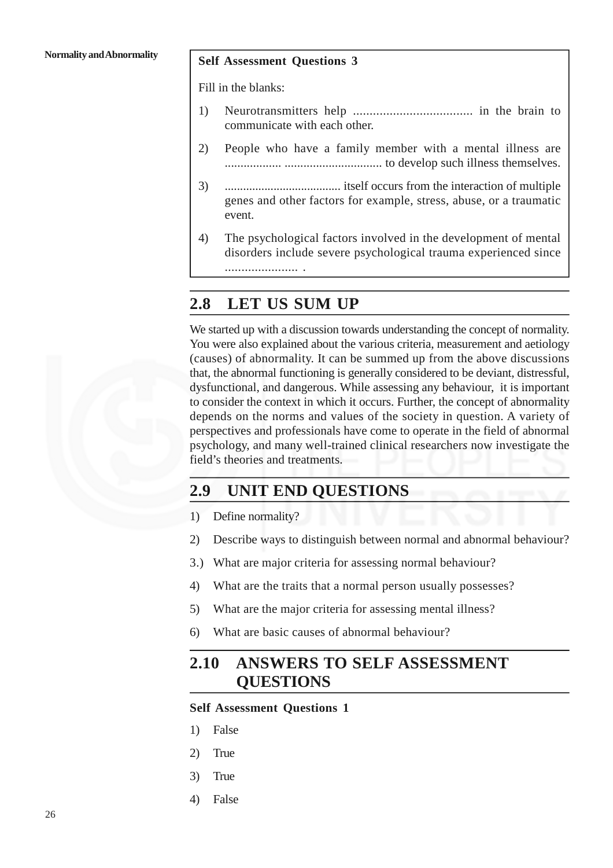#### **Self Assessment Questions 3**

Fill in the blanks:

- 1) Neurotransmitters help .................................... in the brain to communicate with each other.
- 2) People who have a family member with a mental illness are .................. ............................... to develop such illness themselves.
- 3) ...................................... itself occurs from the interaction of multiple genes and other factors for example, stress, abuse, or a traumatic event.
- 4) The psychological factors involved in the development of mental disorders include severe psychological trauma experienced since

## **2.8 LET US SUM UP**

...................... .

We started up with a discussion towards understanding the concept of normality. You were also explained about the various criteria, measurement and aetiology (causes) of abnormality. It can be summed up from the above discussions that, the abnormal functioning is generally considered to be deviant, distressful, dysfunctional, and dangerous. While assessing any behaviour, it is important to consider the context in which it occurs. Further, the concept of abnormality depends on the norms and values of the society in question. A variety of perspectives and professionals have come to operate in the field of abnormal psychology, and many well-trained clinical researcher*s* now investigate the field's theories and treatments.

# **2.9 UNIT END QUESTIONS**

- 1) Define normality?
- 2) Describe ways to distinguish between normal and abnormal behaviour?
- 3.) What are major criteria for assessing normal behaviour?
- 4) What are the traits that a normal person usually possesses?
- 5) What are the major criteria for assessing mental illness?
- 6) What are basic causes of abnormal behaviour?

# **2.10 ANSWERS TO SELF ASSESSMENT QUESTIONS**

#### **Self Assessment Questions 1**

- 1) False
- 2) True
- 3) True
- 4) False